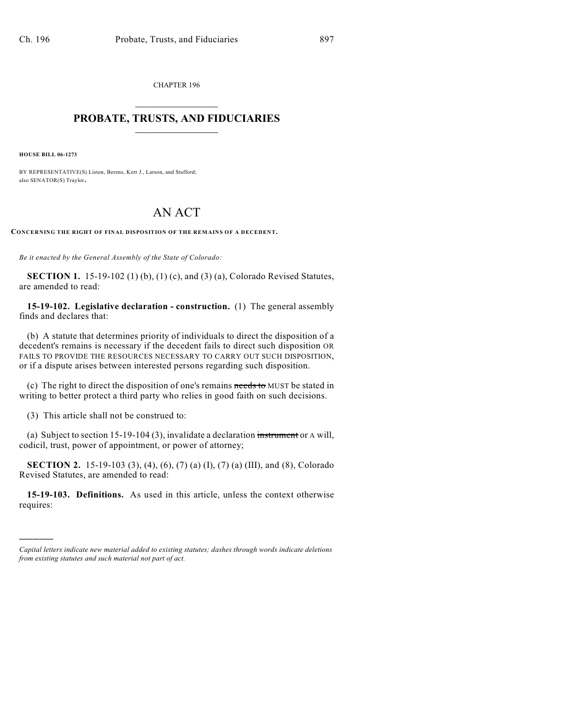CHAPTER 196  $\mathcal{L}_\text{max}$  . The set of the set of the set of the set of the set of the set of the set of the set of the set of the set of the set of the set of the set of the set of the set of the set of the set of the set of the set

## **PROBATE, TRUSTS, AND FIDUCIARIES**  $\overline{\phantom{a}}$

**HOUSE BILL 06-1273**

)))))

BY REPRESENTATIVE(S) Liston, Berens, Kerr J., Larson, and Stafford; also SENATOR(S) Traylor.

## AN ACT

**CONCERNING THE RIGHT OF FINAL DISPOSITION OF THE REMAINS OF A DECEDENT.**

*Be it enacted by the General Assembly of the State of Colorado:*

**SECTION 1.** 15-19-102 (1) (b), (1) (c), and (3) (a), Colorado Revised Statutes, are amended to read:

**15-19-102. Legislative declaration - construction.** (1) The general assembly finds and declares that:

(b) A statute that determines priority of individuals to direct the disposition of a decedent's remains is necessary if the decedent fails to direct such disposition OR FAILS TO PROVIDE THE RESOURCES NECESSARY TO CARRY OUT SUCH DISPOSITION, or if a dispute arises between interested persons regarding such disposition.

(c) The right to direct the disposition of one's remains needs to MUST be stated in writing to better protect a third party who relies in good faith on such decisions.

(3) This article shall not be construed to:

(a) Subject to section 15-19-104 (3), invalidate a declaration instrument or A will, codicil, trust, power of appointment, or power of attorney;

**SECTION 2.** 15-19-103 (3), (4), (6), (7) (a) (I), (7) (a) (III), and (8), Colorado Revised Statutes, are amended to read:

**15-19-103. Definitions.** As used in this article, unless the context otherwise requires:

*Capital letters indicate new material added to existing statutes; dashes through words indicate deletions from existing statutes and such material not part of act.*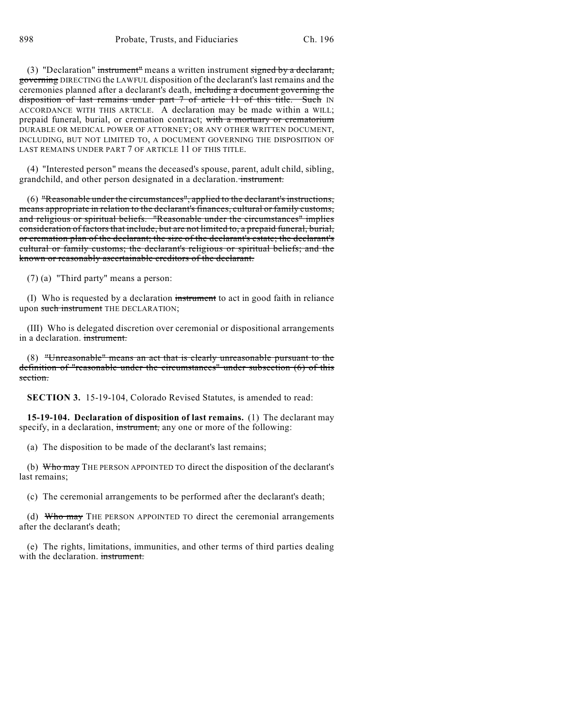(3) "Declaration" instrument" means a written instrument signed by a declarant, governing DIRECTING the LAWFUL disposition of the declarant's last remains and the ceremonies planned after a declarant's death, including a document governing the disposition of last remains under part 7 of article 11 of this title. Such IN ACCORDANCE WITH THIS ARTICLE. A declaration may be made within a WILL; prepaid funeral, burial, or cremation contract; with a mortuary or crematorium DURABLE OR MEDICAL POWER OF ATTORNEY; OR ANY OTHER WRITTEN DOCUMENT, INCLUDING, BUT NOT LIMITED TO, A DOCUMENT GOVERNING THE DISPOSITION OF LAST REMAINS UNDER PART 7 OF ARTICLE 11 OF THIS TITLE.

(4) "Interested person" means the deceased's spouse, parent, adult child, sibling, grandchild, and other person designated in a declaration. instrument.

(6) "Reasonable under the circumstances", applied to the declarant's instructions, means appropriate in relation to the declarant's finances, cultural or family customs, and religious or spiritual beliefs. "Reasonable under the circumstances" implies consideration of factors that include, but are not limited to, a prepaid funeral, burial, or cremation plan of the declarant; the size of the declarant's estate; the declarant's cultural or family customs; the declarant's religious or spiritual beliefs; and the known or reasonably ascertainable creditors of the declarant.

(7) (a) "Third party" means a person:

(I) Who is requested by a declaration instrument to act in good faith in reliance upon such instrument THE DECLARATION;

(III) Who is delegated discretion over ceremonial or dispositional arrangements in a declaration. instrument.

(8) "Unreasonable" means an act that is clearly unreasonable pursuant to the definition of "reasonable under the circumstances" under subsection (6) of this section.

**SECTION 3.** 15-19-104, Colorado Revised Statutes, is amended to read:

**15-19-104. Declaration of disposition of last remains.** (1) The declarant may specify, in a declaration, instrument, any one or more of the following:

(a) The disposition to be made of the declarant's last remains;

(b) Who may THE PERSON APPOINTED TO direct the disposition of the declarant's last remains;

(c) The ceremonial arrangements to be performed after the declarant's death;

(d) Who may THE PERSON APPOINTED TO direct the ceremonial arrangements after the declarant's death;

(e) The rights, limitations, immunities, and other terms of third parties dealing with the declaration. instrument.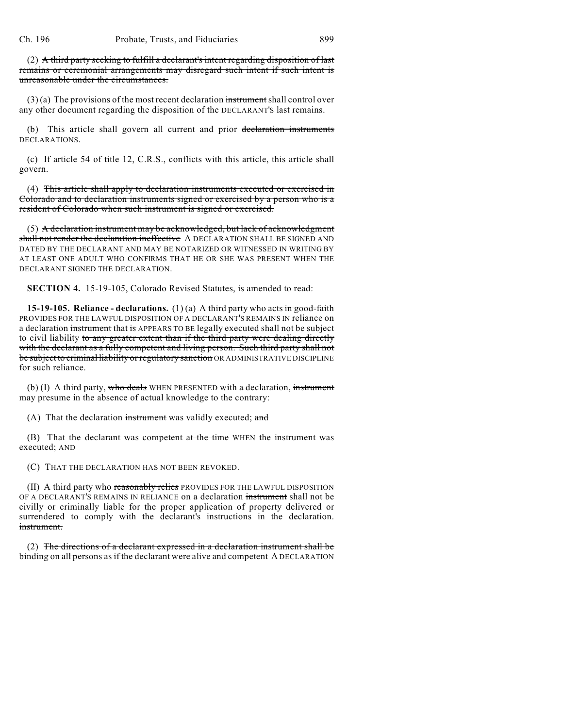(2) A third party seeking to fulfill a declarant's intent regarding disposition of last remains or ceremonial arrangements may disregard such intent if such intent is unreasonable under the circumstances.

 $(3)$  (a) The provisions of the most recent declaration instrument shall control over any other document regarding the disposition of the DECLARANT'S last remains.

(b) This article shall govern all current and prior declaration instruments DECLARATIONS.

(c) If article 54 of title 12, C.R.S., conflicts with this article, this article shall govern.

(4) This article shall apply to declaration instruments executed or exercised in Colorado and to declaration instruments signed or exercised by a person who is a resident of Colorado when such instrument is signed or exercised.

(5) A declaration instrument may be acknowledged, but lack of acknowledgment shall not render the declaration ineffective A DECLARATION SHALL BE SIGNED AND DATED BY THE DECLARANT AND MAY BE NOTARIZED OR WITNESSED IN WRITING BY AT LEAST ONE ADULT WHO CONFIRMS THAT HE OR SHE WAS PRESENT WHEN THE DECLARANT SIGNED THE DECLARATION.

**SECTION 4.** 15-19-105, Colorado Revised Statutes, is amended to read:

**15-19-105. Reliance - declarations.** (1)(a) A third party who acts in good-faith PROVIDES FOR THE LAWFUL DISPOSITION OF A DECLARANT'S REMAINS IN reliance on a declaration instrument that is APPEARS TO BE legally executed shall not be subject to civil liability to any greater extent than if the third party were dealing directly with the declarant as a fully competent and living person. Such third party shall not be subject to criminal liability or regulatory sanction OR ADMINISTRATIVE DISCIPLINE for such reliance.

(b) (I) A third party, who deals WHEN PRESENTED with a declaration, instrument may presume in the absence of actual knowledge to the contrary:

(A) That the declaration instrument was validly executed; and

(B) That the declarant was competent at the time WHEN the instrument was executed; AND

(C) THAT THE DECLARATION HAS NOT BEEN REVOKED.

(II) A third party who reasonably relies PROVIDES FOR THE LAWFUL DISPOSITION OF A DECLARANT'S REMAINS IN RELIANCE on a declaration instrument shall not be civilly or criminally liable for the proper application of property delivered or surrendered to comply with the declarant's instructions in the declaration. instrument.

(2) The directions of a declarant expressed in a declaration instrument shall be binding on all persons as if the declarant were alive and competent A DECLARATION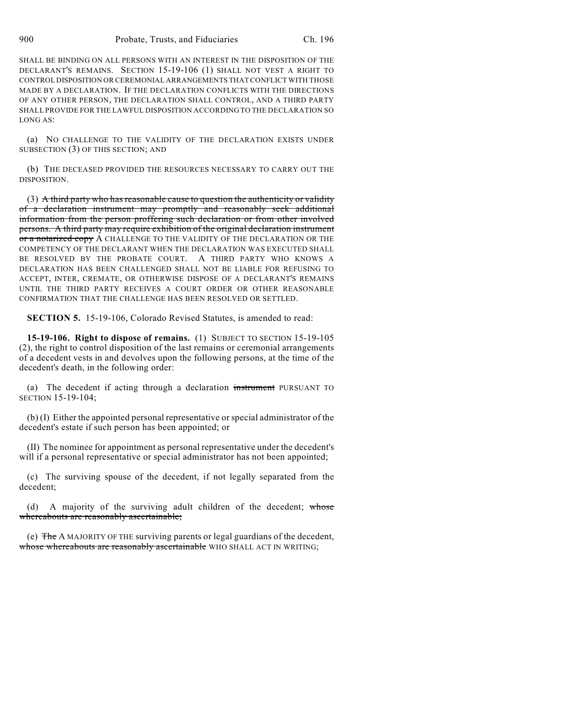SHALL BE BINDING ON ALL PERSONS WITH AN INTEREST IN THE DISPOSITION OF THE DECLARANT'S REMAINS. SECTION 15-19-106 (1) SHALL NOT VEST A RIGHT TO CONTROL DISPOSITION OR CEREMONIAL ARRANGEMENTS THAT CONFLICT WITH THOSE MADE BY A DECLARATION. IF THE DECLARATION CONFLICTS WITH THE DIRECTIONS OF ANY OTHER PERSON, THE DECLARATION SHALL CONTROL, AND A THIRD PARTY SHALL PROVIDE FOR THE LAWFUL DISPOSITION ACCORDING TO THE DECLARATION SO LONG AS:

(a) NO CHALLENGE TO THE VALIDITY OF THE DECLARATION EXISTS UNDER SUBSECTION (3) OF THIS SECTION; AND

(b) THE DECEASED PROVIDED THE RESOURCES NECESSARY TO CARRY OUT THE DISPOSITION.

 $(3)$  A third party who has reasonable cause to question the authenticity or validity of a declaration instrument may promptly and reasonably seek additional information from the person proffering such declaration or from other involved persons. A third party may require exhibition of the original declaration instrument or a notarized copy A CHALLENGE TO THE VALIDITY OF THE DECLARATION OR THE COMPETENCY OF THE DECLARANT WHEN THE DECLARATION WAS EXECUTED SHALL BE RESOLVED BY THE PROBATE COURT. A THIRD PARTY WHO KNOWS A DECLARATION HAS BEEN CHALLENGED SHALL NOT BE LIABLE FOR REFUSING TO ACCEPT, INTER, CREMATE, OR OTHERWISE DISPOSE OF A DECLARANT'S REMAINS UNTIL THE THIRD PARTY RECEIVES A COURT ORDER OR OTHER REASONABLE CONFIRMATION THAT THE CHALLENGE HAS BEEN RESOLVED OR SETTLED.

**SECTION 5.** 15-19-106, Colorado Revised Statutes, is amended to read:

**15-19-106. Right to dispose of remains.** (1) SUBJECT TO SECTION 15-19-105 (2), the right to control disposition of the last remains or ceremonial arrangements of a decedent vests in and devolves upon the following persons, at the time of the decedent's death, in the following order:

(a) The decedent if acting through a declaration instrument PURSUANT TO SECTION 15-19-104;

(b) (I) Either the appointed personal representative or special administrator of the decedent's estate if such person has been appointed; or

(II) The nominee for appointment as personal representative under the decedent's will if a personal representative or special administrator has not been appointed;

(c) The surviving spouse of the decedent, if not legally separated from the decedent;

(d) A majority of the surviving adult children of the decedent; whose whereabouts are reasonably ascertainable;

(e) The A MAJORITY OF THE surviving parents or legal guardians of the decedent, whose whereabouts are reasonably ascertainable WHO SHALL ACT IN WRITING;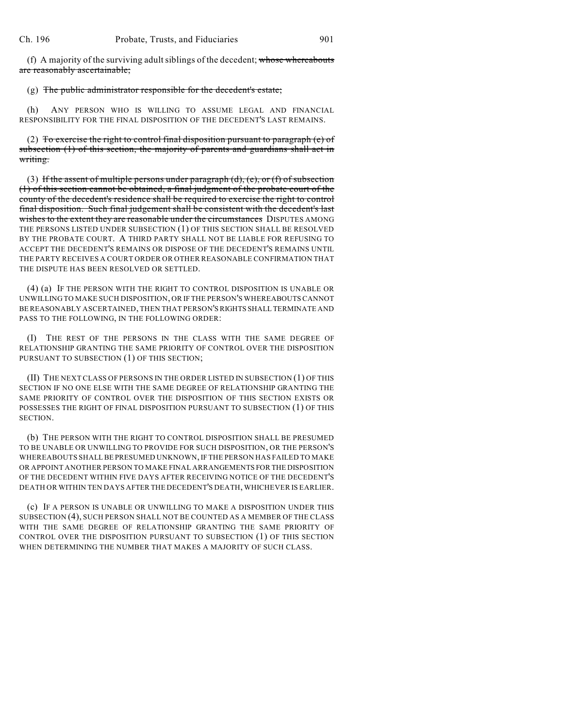(f) A majority of the surviving adult siblings of the decedent; whose whereabouts are reasonably ascertainable;

## (g) The public administrator responsible for the decedent's estate;

(h) ANY PERSON WHO IS WILLING TO ASSUME LEGAL AND FINANCIAL RESPONSIBILITY FOR THE FINAL DISPOSITION OF THE DECEDENT'S LAST REMAINS.

(2) To exercise the right to control final disposition pursuant to paragraph (e) of subsection (1) of this section, the majority of parents and guardians shall act in writing.

(3) If the assent of multiple persons under paragraph  $(d)$ ,  $(e)$ , or  $(f)$  of subsection (1) of this section cannot be obtained, a final judgment of the probate court of the county of the decedent's residence shall be required to exercise the right to control final disposition. Such final judgement shall be consistent with the decedent's last wishes to the extent they are reasonable under the circumstances DISPUTES AMONG THE PERSONS LISTED UNDER SUBSECTION (1) OF THIS SECTION SHALL BE RESOLVED BY THE PROBATE COURT. A THIRD PARTY SHALL NOT BE LIABLE FOR REFUSING TO ACCEPT THE DECEDENT'S REMAINS OR DISPOSE OF THE DECEDENT'S REMAINS UNTIL THE PARTY RECEIVES A COURT ORDER OR OTHER REASONABLE CONFIRMATION THAT THE DISPUTE HAS BEEN RESOLVED OR SETTLED.

(4) (a) IF THE PERSON WITH THE RIGHT TO CONTROL DISPOSITION IS UNABLE OR UNWILLING TO MAKE SUCH DISPOSITION, OR IF THE PERSON'S WHEREABOUTS CANNOT BE REASONABLY ASCERTAINED, THEN THAT PERSON'S RIGHTS SHALL TERMINATE AND PASS TO THE FOLLOWING, IN THE FOLLOWING ORDER:

(I) THE REST OF THE PERSONS IN THE CLASS WITH THE SAME DEGREE OF RELATIONSHIP GRANTING THE SAME PRIORITY OF CONTROL OVER THE DISPOSITION PURSUANT TO SUBSECTION (1) OF THIS SECTION;

(II) THE NEXT CLASS OF PERSONS IN THE ORDER LISTED IN SUBSECTION (1) OF THIS SECTION IF NO ONE ELSE WITH THE SAME DEGREE OF RELATIONSHIP GRANTING THE SAME PRIORITY OF CONTROL OVER THE DISPOSITION OF THIS SECTION EXISTS OR POSSESSES THE RIGHT OF FINAL DISPOSITION PURSUANT TO SUBSECTION (1) OF THIS SECTION.

(b) THE PERSON WITH THE RIGHT TO CONTROL DISPOSITION SHALL BE PRESUMED TO BE UNABLE OR UNWILLING TO PROVIDE FOR SUCH DISPOSITION, OR THE PERSON'S WHEREABOUTS SHALL BE PRESUMED UNKNOWN, IF THE PERSON HAS FAILED TO MAKE OR APPOINT ANOTHER PERSON TO MAKE FINAL ARRANGEMENTS FOR THE DISPOSITION OF THE DECEDENT WITHIN FIVE DAYS AFTER RECEIVING NOTICE OF THE DECEDENT'S DEATH OR WITHIN TEN DAYS AFTER THE DECEDENT'S DEATH, WHICHEVER IS EARLIER.

(c) IF A PERSON IS UNABLE OR UNWILLING TO MAKE A DISPOSITION UNDER THIS SUBSECTION (4), SUCH PERSON SHALL NOT BE COUNTED AS A MEMBER OF THE CLASS WITH THE SAME DEGREE OF RELATIONSHIP GRANTING THE SAME PRIORITY OF CONTROL OVER THE DISPOSITION PURSUANT TO SUBSECTION (1) OF THIS SECTION WHEN DETERMINING THE NUMBER THAT MAKES A MAJORITY OF SUCH CLASS.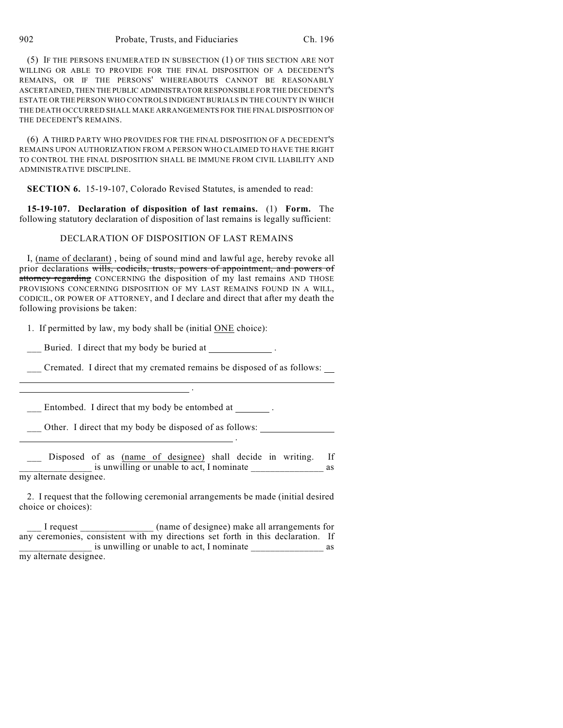(5) IF THE PERSONS ENUMERATED IN SUBSECTION (1) OF THIS SECTION ARE NOT WILLING OR ABLE TO PROVIDE FOR THE FINAL DISPOSITION OF A DECEDENT'S REMAINS, OR IF THE PERSONS' WHEREABOUTS CANNOT BE REASONABLY ASCERTAINED, THEN THE PUBLIC ADMINISTRATOR RESPONSIBLE FOR THE DECEDENT'S ESTATE OR THE PERSON WHO CONTROLS INDIGENT BURIALS IN THE COUNTY IN WHICH THE DEATH OCCURRED SHALL MAKE ARRANGEMENTS FOR THE FINAL DISPOSITION OF THE DECEDENT'S REMAINS.

(6) A THIRD PARTY WHO PROVIDES FOR THE FINAL DISPOSITION OF A DECEDENT'S REMAINS UPON AUTHORIZATION FROM A PERSON WHO CLAIMED TO HAVE THE RIGHT TO CONTROL THE FINAL DISPOSITION SHALL BE IMMUNE FROM CIVIL LIABILITY AND ADMINISTRATIVE DISCIPLINE.

**SECTION 6.** 15-19-107, Colorado Revised Statutes, is amended to read:

**15-19-107. Declaration of disposition of last remains.** (1) **Form.** The following statutory declaration of disposition of last remains is legally sufficient:

## DECLARATION OF DISPOSITION OF LAST REMAINS

I, (name of declarant) , being of sound mind and lawful age, hereby revoke all prior declarations wills, codicils, trusts, powers of appointment, and powers of attorney regarding CONCERNING the disposition of my last remains AND THOSE PROVISIONS CONCERNING DISPOSITION OF MY LAST REMAINS FOUND IN A WILL, CODICIL, OR POWER OF ATTORNEY, and I declare and direct that after my death the following provisions be taken:

1. If permitted by law, my body shall be (initial ONE choice):

Buried. I direct that my body be buried at .

\_\_\_ Cremated. I direct that my cremated remains be disposed of as follows:

Entombed. I direct that my body be entombed at \_\_\_\_\_\_\_.

<u>. Andre Stadt i den stadt i den stadt i den stadt i den stadt i den stadt i den stadt i den stadt i den stadt</u>

.

\_\_\_ Other. I direct that my body be disposed of as follows:

Disposed of as (name of designee) shall decide in writing. If is unwilling or unable to act, I nominate as my alternate designee.

2. I request that the following ceremonial arrangements be made (initial desired choice or choices):

\_\_\_ I request \_\_\_\_\_\_\_\_\_\_\_\_\_\_\_ (name of designee) make all arrangements for any ceremonies, consistent with my directions set forth in this declaration. If is unwilling or unable to act, I nominate  $\qquad \qquad \text{as}$ my alternate designee.

 $\overline{a}$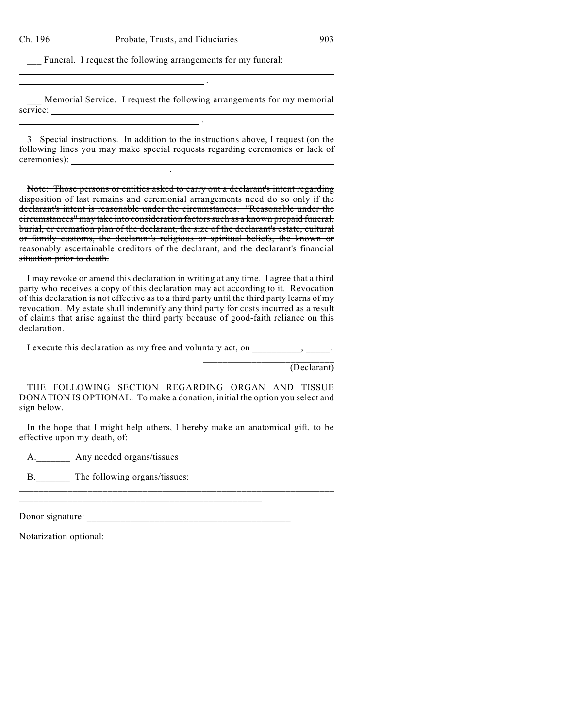$\overline{a}$ 

Funeral. I request the following arrangements for my funeral:

.

.

<u>. Andre Sterne Sterne Sterne Sterne Sterne Sterne Sterne Sterne Sterne Sterne Sterne Sterne Sterne Sterne Ste</u>

Memorial Service. I request the following arrangements for my memorial service:

3. Special instructions. In addition to the instructions above, I request (on the following lines you may make special requests regarding ceremonies or lack of ceremonies):

Note: Those persons or entities asked to carry out a declarant's intent regarding disposition of last remains and ceremonial arrangements need do so only if the declarant's intent is reasonable under the circumstances. "Reasonable under the circumstances" may take into consideration factors such as a known prepaid funeral, burial, or cremation plan of the declarant, the size of the declarant's estate, cultural or family customs, the declarant's religious or spiritual beliefs, the known or reasonably ascertainable creditors of the declarant, and the declarant's financial situation prior to death.

I may revoke or amend this declaration in writing at any time. I agree that a third party who receives a copy of this declaration may act according to it. Revocation of this declaration is not effective as to a third party until the third party learns of my revocation. My estate shall indemnify any third party for costs incurred as a result of claims that arise against the third party because of good-faith reliance on this declaration.

I execute this declaration as my free and voluntary act, on  $\qquad \qquad$ ,  $\qquad \qquad$ 

(Declarant)

\_\_\_\_\_\_\_\_\_\_\_\_\_\_\_\_\_\_\_\_\_\_\_\_\_\_\_

THE FOLLOWING SECTION REGARDING ORGAN AND TISSUE DONATION IS OPTIONAL. To make a donation, initial the option you select and sign below.

In the hope that I might help others, I hereby make an anatomical gift, to be effective upon my death, of:

A. Any needed organs/tissues

B. The following organs/tissues:

Donor signature: \_\_\_\_\_\_\_\_\_\_\_\_\_\_\_\_\_\_\_\_\_\_\_\_\_\_\_\_\_\_\_\_\_\_\_\_\_\_\_\_\_\_

\_\_\_\_\_\_\_\_\_\_\_\_\_\_\_\_\_\_\_\_\_\_\_\_\_\_\_\_\_\_\_\_\_\_\_\_\_\_\_\_\_\_\_\_\_\_\_\_\_\_\_\_\_\_\_\_\_\_\_\_\_\_\_\_

Notarization optional: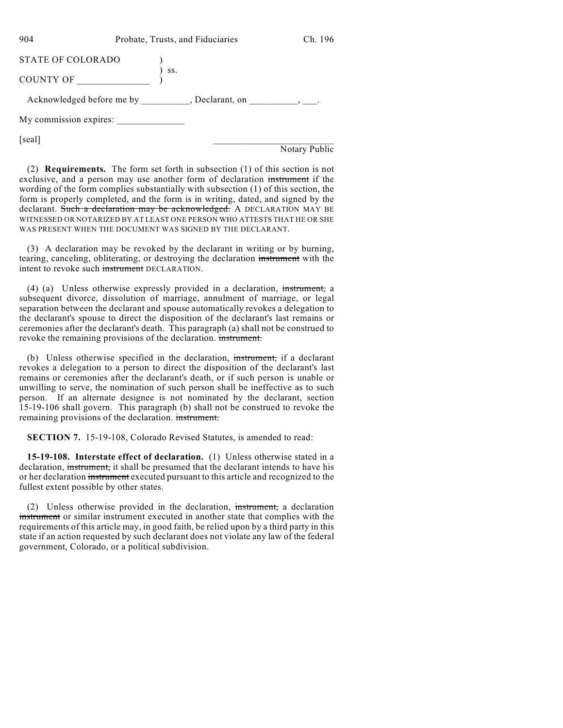904 Probate, Trusts, and Fiduciaries Ch. 196 STATE OF COLORADO (1) ) ss. COUNTY OF \_\_\_\_\_\_\_\_\_\_\_\_\_\_\_ ) Acknowledged before me by \_\_\_\_\_\_\_\_, Declarant, on \_\_\_\_\_\_\_\_\_, \_\_\_. My commission expires:  $[scal]$ 

Notary Public

(2) **Requirements.** The form set forth in subsection (1) of this section is not exclusive, and a person may use another form of declaration instrument if the wording of the form complies substantially with subsection (1) of this section, the form is properly completed, and the form is in writing, dated, and signed by the declarant. Such a declaration may be acknowledged. A DECLARATION MAY BE WITNESSED OR NOTARIZED BY AT LEAST ONE PERSON WHO ATTESTS THAT HE OR SHE WAS PRESENT WHEN THE DOCUMENT WAS SIGNED BY THE DECLARANT.

(3) A declaration may be revoked by the declarant in writing or by burning, tearing, canceling, obliterating, or destroying the declaration instrument with the intent to revoke such instrument DECLARATION.

(4) (a) Unless otherwise expressly provided in a declaration, instrument, a subsequent divorce, dissolution of marriage, annulment of marriage, or legal separation between the declarant and spouse automatically revokes a delegation to the declarant's spouse to direct the disposition of the declarant's last remains or ceremonies after the declarant's death. This paragraph (a) shall not be construed to revoke the remaining provisions of the declaration. instrument.

(b) Unless otherwise specified in the declaration, instrument, if a declarant revokes a delegation to a person to direct the disposition of the declarant's last remains or ceremonies after the declarant's death, or if such person is unable or unwilling to serve, the nomination of such person shall be ineffective as to such person. If an alternate designee is not nominated by the declarant, section 15-19-106 shall govern. This paragraph (b) shall not be construed to revoke the remaining provisions of the declaration. instrument.

**SECTION 7.** 15-19-108, Colorado Revised Statutes, is amended to read:

**15-19-108. Interstate effect of declaration.** (1) Unless otherwise stated in a declaration, instrument, it shall be presumed that the declarant intends to have his or her declaration instrument executed pursuant to this article and recognized to the fullest extent possible by other states.

(2) Unless otherwise provided in the declaration, instrument, a declaration instrument or similar instrument executed in another state that complies with the requirements of this article may, in good faith, be relied upon by a third party in this state if an action requested by such declarant does not violate any law of the federal government, Colorado, or a political subdivision.